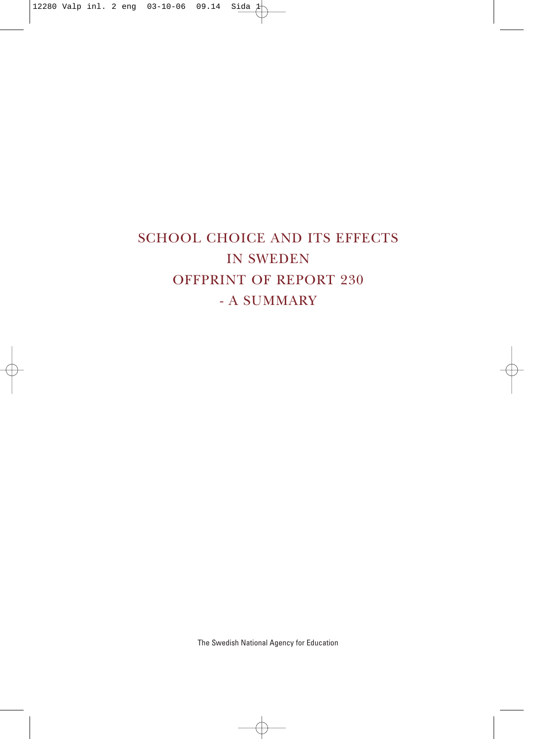### SCHOOL CHOICE AND ITS EFFECTS IN SWEDEN OFFPRINT OF REPORT 230 - A SUMMARY

The Swedish National Agency for Education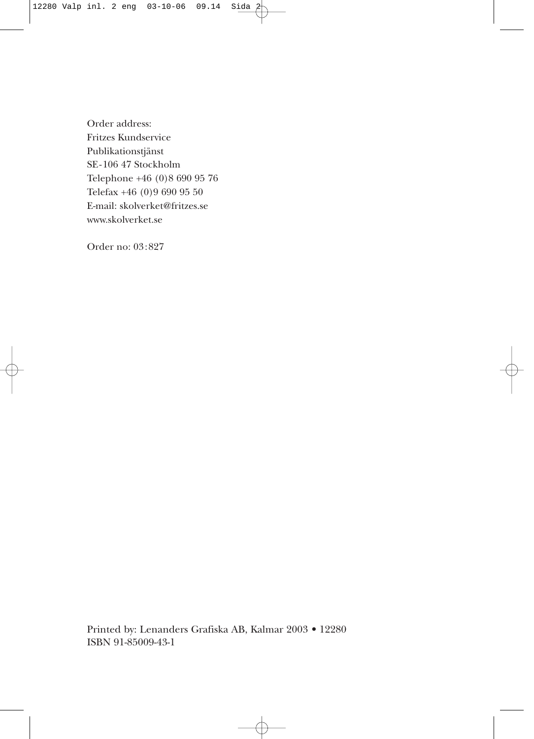Order address: Fritzes Kundservice Publikationstjänst SE-106 47 Stockholm Telephone +46 (0)8 690 95 76 Telefax +46 (0)9 690 95 50 E-mail: skolverket@fritzes.se www.skolverket.se

Order no: 03:827

Printed by: Lenanders Grafiska AB, Kalmar 2003 • 12280 ISBN 91-85009-43-1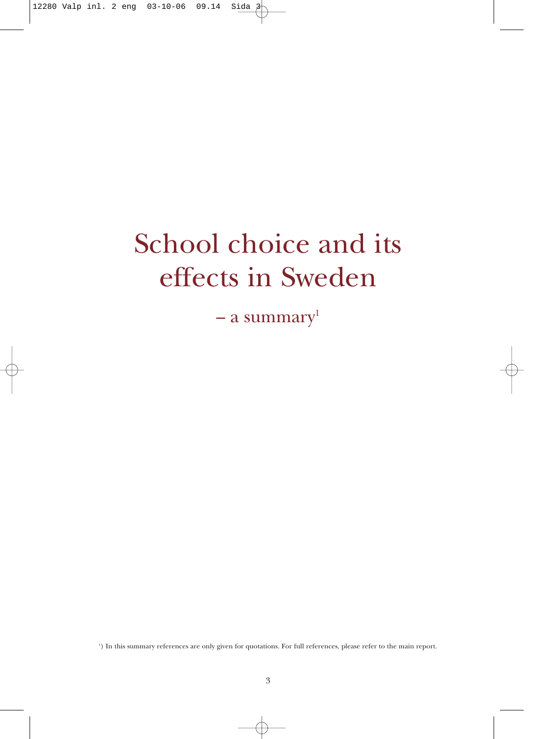# School choice and its effects in Sweden

– a summary $l$ 

1 ) In this summary references are only given for quotations. For full references, please refer to the main report.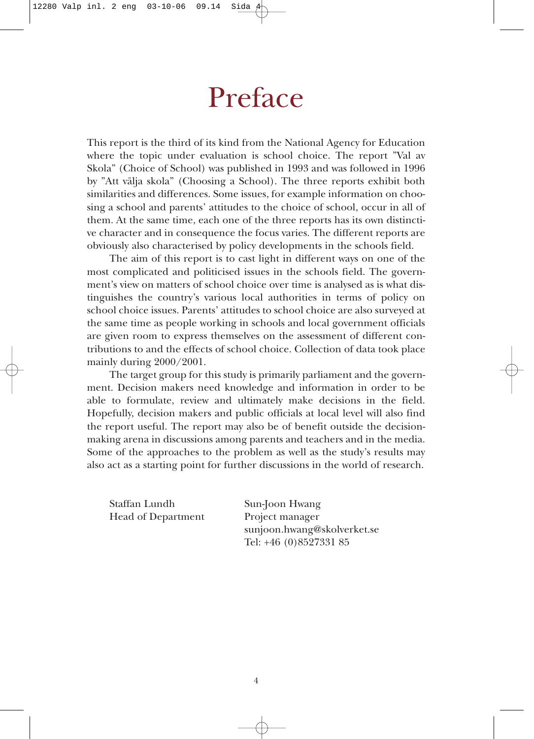### Preface

This report is the third of its kind from the National Agency for Education where the topic under evaluation is school choice. The report "Val av Skola" (Choice of School) was published in 1993 and was followed in 1996 by "Att välja skola" (Choosing a School). The three reports exhibit both similarities and differences. Some issues, for example information on choosing a school and parents' attitudes to the choice of school, occur in all of them. At the same time, each one of the three reports has its own distinctive character and in consequence the focus varies. The different reports are obviously also characterised by policy developments in the schools field.

The aim of this report is to cast light in different ways on one of the most complicated and politicised issues in the schools field. The government's view on matters of school choice over time is analysed as is what distinguishes the country's various local authorities in terms of policy on school choice issues. Parents' attitudes to school choice are also surveyed at the same time as people working in schools and local government officials are given room to express themselves on the assessment of different contributions to and the effects of school choice. Collection of data took place mainly during 2000/2001.

The target group for this study is primarily parliament and the government. Decision makers need knowledge and information in order to be able to formulate, review and ultimately make decisions in the field. Hopefully, decision makers and public officials at local level will also find the report useful. The report may also be of benefit outside the decisionmaking arena in discussions among parents and teachers and in the media. Some of the approaches to the problem as well as the study's results may also act as a starting point for further discussions in the world of research.

Staffan Lundh Sun-Joon Hwang Head of Department Project manager

sunjoon.hwang@skolverket.se Tel: +46 (0)8527331 85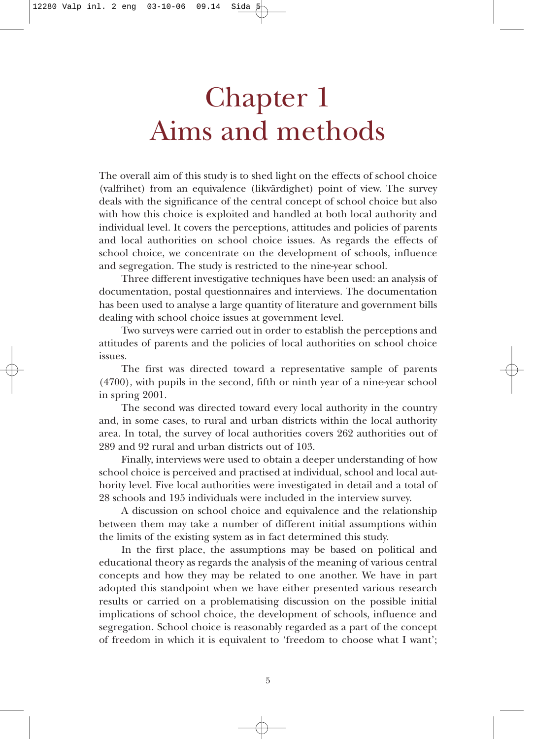## Chapter 1 Aims and methods

The overall aim of this study is to shed light on the effects of school choice (valfrihet) from an equivalence (likvärdighet) point of view. The survey deals with the significance of the central concept of school choice but also with how this choice is exploited and handled at both local authority and individual level. It covers the perceptions, attitudes and policies of parents and local authorities on school choice issues. As regards the effects of school choice, we concentrate on the development of schools, influence and segregation. The study is restricted to the nine-year school.

Three different investigative techniques have been used: an analysis of documentation, postal questionnaires and interviews. The documentation has been used to analyse a large quantity of literature and government bills dealing with school choice issues at government level.

Two surveys were carried out in order to establish the perceptions and attitudes of parents and the policies of local authorities on school choice issues.

The first was directed toward a representative sample of parents (4700), with pupils in the second, fifth or ninth year of a nine-year school in spring 2001.

The second was directed toward every local authority in the country and, in some cases, to rural and urban districts within the local authority area. In total, the survey of local authorities covers 262 authorities out of 289 and 92 rural and urban districts out of 103.

Finally, interviews were used to obtain a deeper understanding of how school choice is perceived and practised at individual, school and local authority level. Five local authorities were investigated in detail and a total of 28 schools and 195 individuals were included in the interview survey.

A discussion on school choice and equivalence and the relationship between them may take a number of different initial assumptions within the limits of the existing system as in fact determined this study.

In the first place, the assumptions may be based on political and educational theory as regards the analysis of the meaning of various central concepts and how they may be related to one another. We have in part adopted this standpoint when we have either presented various research results or carried on a problematising discussion on the possible initial implications of school choice, the development of schools, influence and segregation. School choice is reasonably regarded as a part of the concept of freedom in which it is equivalent to 'freedom to choose what I want';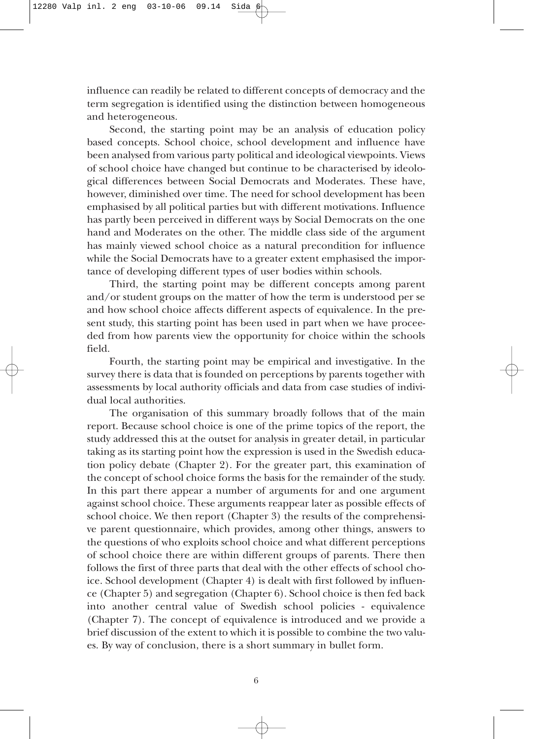influence can readily be related to different concepts of democracy and the term segregation is identified using the distinction between homogeneous and heterogeneous.

Second, the starting point may be an analysis of education policy based concepts. School choice, school development and influence have been analysed from various party political and ideological viewpoints. Views of school choice have changed but continue to be characterised by ideological differences between Social Democrats and Moderates. These have, however, diminished over time. The need for school development has been emphasised by all political parties but with different motivations. Influence has partly been perceived in different ways by Social Democrats on the one hand and Moderates on the other. The middle class side of the argument has mainly viewed school choice as a natural precondition for influence while the Social Democrats have to a greater extent emphasised the importance of developing different types of user bodies within schools.

Third, the starting point may be different concepts among parent and/or student groups on the matter of how the term is understood per se and how school choice affects different aspects of equivalence. In the present study, this starting point has been used in part when we have proceeded from how parents view the opportunity for choice within the schools field.

Fourth, the starting point may be empirical and investigative. In the survey there is data that is founded on perceptions by parents together with assessments by local authority officials and data from case studies of individual local authorities.

The organisation of this summary broadly follows that of the main report. Because school choice is one of the prime topics of the report, the study addressed this at the outset for analysis in greater detail, in particular taking as its starting point how the expression is used in the Swedish education policy debate (Chapter 2). For the greater part, this examination of the concept of school choice forms the basis for the remainder of the study. In this part there appear a number of arguments for and one argument against school choice. These arguments reappear later as possible effects of school choice. We then report (Chapter 3) the results of the comprehensive parent questionnaire, which provides, among other things, answers to the questions of who exploits school choice and what different perceptions of school choice there are within different groups of parents. There then follows the first of three parts that deal with the other effects of school choice. School development (Chapter 4) is dealt with first followed by influence (Chapter 5) and segregation (Chapter 6). School choice is then fed back into another central value of Swedish school policies - equivalence (Chapter 7). The concept of equivalence is introduced and we provide a brief discussion of the extent to which it is possible to combine the two values. By way of conclusion, there is a short summary in bullet form.

6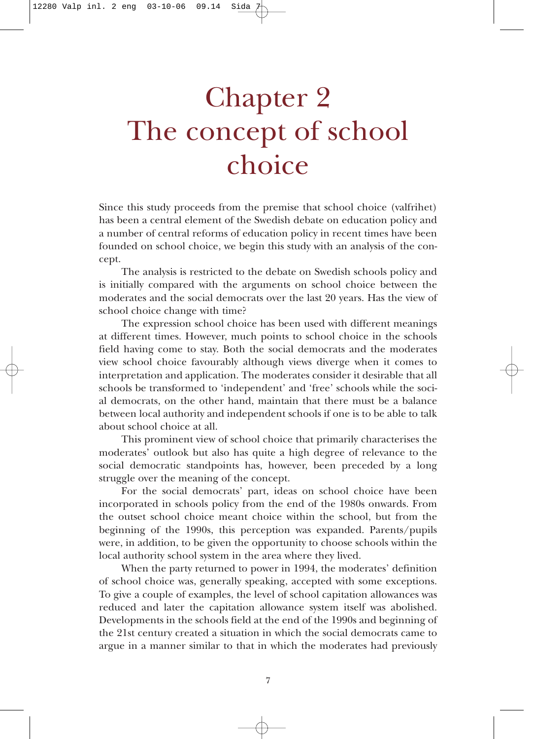# Chapter 2 The concept of school choice

Since this study proceeds from the premise that school choice (valfrihet) has been a central element of the Swedish debate on education policy and a number of central reforms of education policy in recent times have been founded on school choice, we begin this study with an analysis of the concept.

The analysis is restricted to the debate on Swedish schools policy and is initially compared with the arguments on school choice between the moderates and the social democrats over the last 20 years. Has the view of school choice change with time?

The expression school choice has been used with different meanings at different times. However, much points to school choice in the schools field having come to stay. Both the social democrats and the moderates view school choice favourably although views diverge when it comes to interpretation and application. The moderates consider it desirable that all schools be transformed to 'independent' and 'free' schools while the social democrats, on the other hand, maintain that there must be a balance between local authority and independent schools if one is to be able to talk about school choice at all.

This prominent view of school choice that primarily characterises the moderates' outlook but also has quite a high degree of relevance to the social democratic standpoints has, however, been preceded by a long struggle over the meaning of the concept.

For the social democrats' part, ideas on school choice have been incorporated in schools policy from the end of the 1980s onwards. From the outset school choice meant choice within the school, but from the beginning of the 1990s, this perception was expanded. Parents/pupils were, in addition, to be given the opportunity to choose schools within the local authority school system in the area where they lived.

When the party returned to power in 1994, the moderates' definition of school choice was, generally speaking, accepted with some exceptions. To give a couple of examples, the level of school capitation allowances was reduced and later the capitation allowance system itself was abolished. Developments in the schools field at the end of the 1990s and beginning of the 21st century created a situation in which the social democrats came to argue in a manner similar to that in which the moderates had previously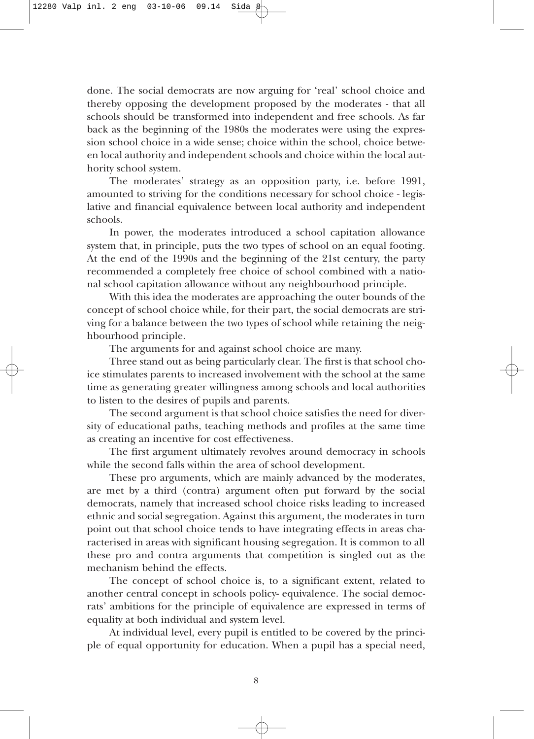done. The social democrats are now arguing for 'real' school choice and thereby opposing the development proposed by the moderates - that all schools should be transformed into independent and free schools. As far back as the beginning of the 1980s the moderates were using the expression school choice in a wide sense; choice within the school, choice between local authority and independent schools and choice within the local authority school system.

The moderates' strategy as an opposition party, i.e. before 1991, amounted to striving for the conditions necessary for school choice - legislative and financial equivalence between local authority and independent schools.

In power, the moderates introduced a school capitation allowance system that, in principle, puts the two types of school on an equal footing. At the end of the 1990s and the beginning of the 21st century, the party recommended a completely free choice of school combined with a national school capitation allowance without any neighbourhood principle.

With this idea the moderates are approaching the outer bounds of the concept of school choice while, for their part, the social democrats are striving for a balance between the two types of school while retaining the neighbourhood principle.

The arguments for and against school choice are many.

Three stand out as being particularly clear. The first is that school choice stimulates parents to increased involvement with the school at the same time as generating greater willingness among schools and local authorities to listen to the desires of pupils and parents.

The second argument is that school choice satisfies the need for diversity of educational paths, teaching methods and profiles at the same time as creating an incentive for cost effectiveness.

The first argument ultimately revolves around democracy in schools while the second falls within the area of school development.

These pro arguments, which are mainly advanced by the moderates, are met by a third (contra) argument often put forward by the social democrats, namely that increased school choice risks leading to increased ethnic and social segregation. Against this argument, the moderates in turn point out that school choice tends to have integrating effects in areas characterised in areas with significant housing segregation. It is common to all these pro and contra arguments that competition is singled out as the mechanism behind the effects.

The concept of school choice is, to a significant extent, related to another central concept in schools policy- equivalence. The social democrats' ambitions for the principle of equivalence are expressed in terms of equality at both individual and system level.

At individual level, every pupil is entitled to be covered by the principle of equal opportunity for education. When a pupil has a special need,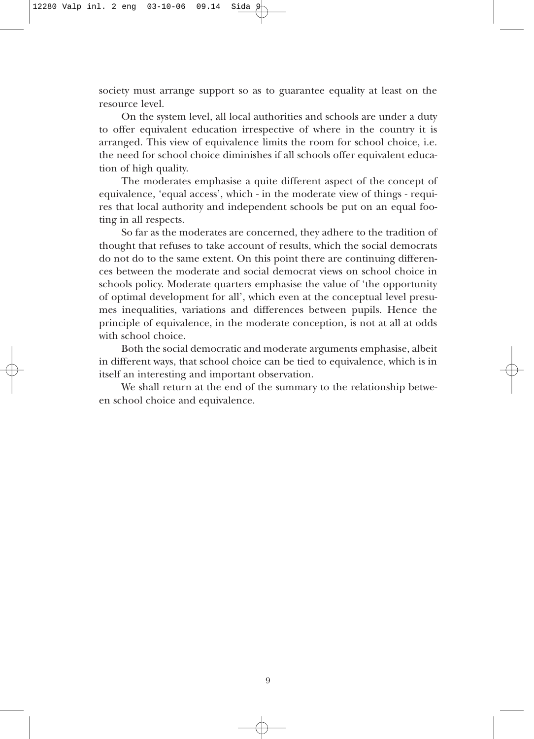society must arrange support so as to guarantee equality at least on the resource level.

On the system level, all local authorities and schools are under a duty to offer equivalent education irrespective of where in the country it is arranged. This view of equivalence limits the room for school choice, i.e. the need for school choice diminishes if all schools offer equivalent education of high quality.

The moderates emphasise a quite different aspect of the concept of equivalence, 'equal access', which - in the moderate view of things - requires that local authority and independent schools be put on an equal footing in all respects.

So far as the moderates are concerned, they adhere to the tradition of thought that refuses to take account of results, which the social democrats do not do to the same extent. On this point there are continuing differences between the moderate and social democrat views on school choice in schools policy. Moderate quarters emphasise the value of 'the opportunity of optimal development for all', which even at the conceptual level presumes inequalities, variations and differences between pupils. Hence the principle of equivalence, in the moderate conception, is not at all at odds with school choice.

Both the social democratic and moderate arguments emphasise, albeit in different ways, that school choice can be tied to equivalence, which is in itself an interesting and important observation.

We shall return at the end of the summary to the relationship between school choice and equivalence.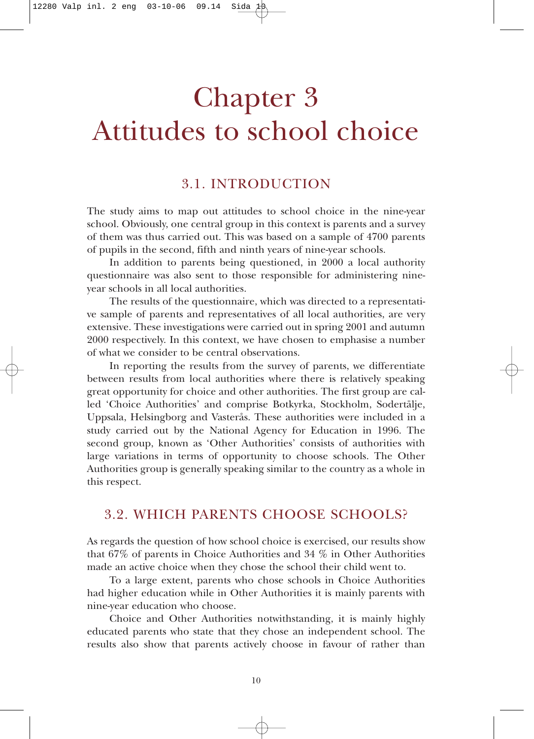## Chapter 3 Attitudes to school choice

#### 3.1. INTRODUCTION

The study aims to map out attitudes to school choice in the nine-year school. Obviously, one central group in this context is parents and a survey of them was thus carried out. This was based on a sample of 4700 parents of pupils in the second, fifth and ninth years of nine-year schools.

In addition to parents being questioned, in 2000 a local authority questionnaire was also sent to those responsible for administering nineyear schools in all local authorities.

The results of the questionnaire, which was directed to a representative sample of parents and representatives of all local authorities, are very extensive. These investigations were carried out in spring 2001 and autumn 2000 respectively. In this context, we have chosen to emphasise a number of what we consider to be central observations.

In reporting the results from the survey of parents, we differentiate between results from local authorities where there is relatively speaking great opportunity for choice and other authorities. The first group are called 'Choice Authorities' and comprise Botkyrka, Stockholm, Sodertälje, Uppsala, Helsingborg and Vasterås. These authorities were included in a study carried out by the National Agency for Education in 1996. The second group, known as 'Other Authorities' consists of authorities with large variations in terms of opportunity to choose schools. The Other Authorities group is generally speaking similar to the country as a whole in this respect.

#### 3.2. WHICH PARENTS CHOOSE SCHOOLS?

As regards the question of how school choice is exercised, our results show that 67% of parents in Choice Authorities and 34 % in Other Authorities made an active choice when they chose the school their child went to.

To a large extent, parents who chose schools in Choice Authorities had higher education while in Other Authorities it is mainly parents with nine-year education who choose.

Choice and Other Authorities notwithstanding, it is mainly highly educated parents who state that they chose an independent school. The results also show that parents actively choose in favour of rather than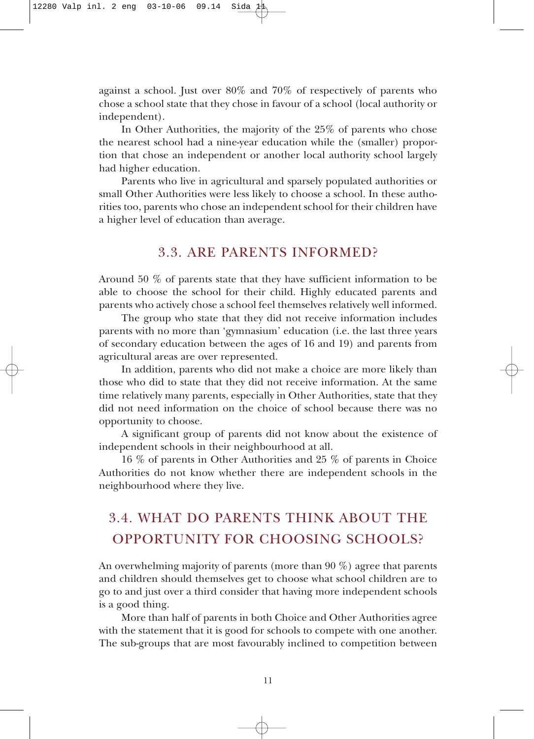against a school. Just over 80% and 70% of respectively of parents who chose a school state that they chose in favour of a school (local authority or independent).

In Other Authorities, the majority of the 25% of parents who chose the nearest school had a nine-year education while the (smaller) proportion that chose an independent or another local authority school largely had higher education.

Parents who live in agricultural and sparsely populated authorities or small Other Authorities were less likely to choose a school. In these authorities too, parents who chose an independent school for their children have a higher level of education than average.

#### 3.3. ARE PARENTS INFORMED?

Around 50 % of parents state that they have sufficient information to be able to choose the school for their child. Highly educated parents and parents who actively chose a school feel themselves relatively well informed.

The group who state that they did not receive information includes parents with no more than 'gymnasium' education (i.e. the last three years of secondary education between the ages of 16 and 19) and parents from agricultural areas are over represented.

In addition, parents who did not make a choice are more likely than those who did to state that they did not receive information. At the same time relatively many parents, especially in Other Authorities, state that they did not need information on the choice of school because there was no opportunity to choose.

A significant group of parents did not know about the existence of independent schools in their neighbourhood at all.

16 % of parents in Other Authorities and 25 % of parents in Choice Authorities do not know whether there are independent schools in the neighbourhood where they live.

### 3.4. WHAT DO PARENTS THINK ABOUT THE OPPORTUNITY FOR CHOOSING SCHOOLS?

An overwhelming majority of parents (more than 90 %) agree that parents and children should themselves get to choose what school children are to go to and just over a third consider that having more independent schools is a good thing.

More than half of parents in both Choice and Other Authorities agree with the statement that it is good for schools to compete with one another. The sub-groups that are most favourably inclined to competition between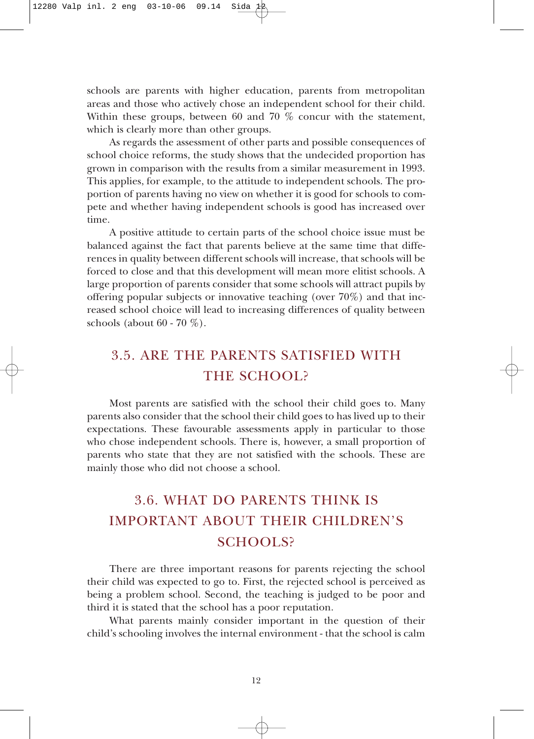schools are parents with higher education, parents from metropolitan areas and those who actively chose an independent school for their child. Within these groups, between 60 and 70 % concur with the statement, which is clearly more than other groups.

As regards the assessment of other parts and possible consequences of school choice reforms, the study shows that the undecided proportion has grown in comparison with the results from a similar measurement in 1993. This applies, for example, to the attitude to independent schools. The proportion of parents having no view on whether it is good for schools to compete and whether having independent schools is good has increased over time.

A positive attitude to certain parts of the school choice issue must be balanced against the fact that parents believe at the same time that differences in quality between different schools will increase, that schools will be forced to close and that this development will mean more elitist schools. A large proportion of parents consider that some schools will attract pupils by offering popular subjects or innovative teaching (over 70%) and that increased school choice will lead to increasing differences of quality between schools (about 60 - 70 %).

### 3.5. ARE THE PARENTS SATISFIED WITH THE SCHOOL?

Most parents are satisfied with the school their child goes to. Many parents also consider that the school their child goes to has lived up to their expectations. These favourable assessments apply in particular to those who chose independent schools. There is, however, a small proportion of parents who state that they are not satisfied with the schools. These are mainly those who did not choose a school.

### 3.6. WHAT DO PARENTS THINK IS IMPORTANT ABOUT THEIR CHILDREN'S SCHOOLS?

There are three important reasons for parents rejecting the school their child was expected to go to. First, the rejected school is perceived as being a problem school. Second, the teaching is judged to be poor and third it is stated that the school has a poor reputation.

What parents mainly consider important in the question of their child's schooling involves the internal environment - that the school is calm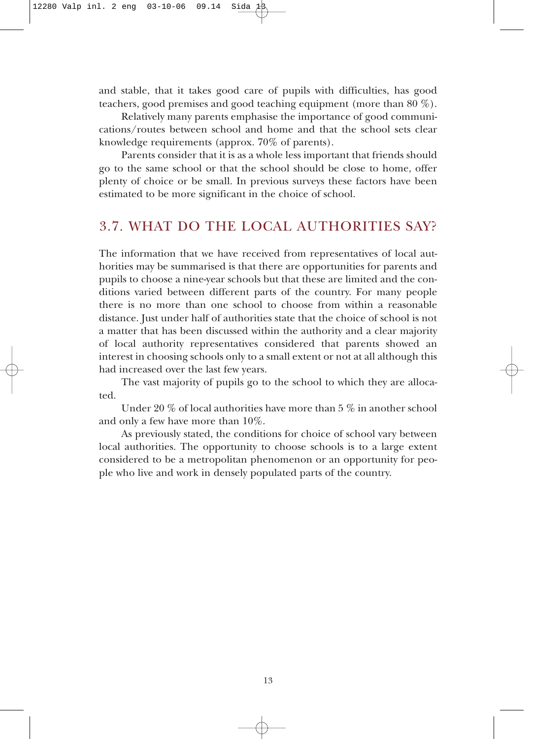and stable, that it takes good care of pupils with difficulties, has good teachers, good premises and good teaching equipment (more than 80 %).

Relatively many parents emphasise the importance of good communications/routes between school and home and that the school sets clear knowledge requirements (approx. 70% of parents).

Parents consider that it is as a whole less important that friends should go to the same school or that the school should be close to home, offer plenty of choice or be small. In previous surveys these factors have been estimated to be more significant in the choice of school.

#### 3.7. WHAT DO THE LOCAL AUTHORITIES SAY?

The information that we have received from representatives of local authorities may be summarised is that there are opportunities for parents and pupils to choose a nine-year schools but that these are limited and the conditions varied between different parts of the country. For many people there is no more than one school to choose from within a reasonable distance. Just under half of authorities state that the choice of school is not a matter that has been discussed within the authority and a clear majority of local authority representatives considered that parents showed an interest in choosing schools only to a small extent or not at all although this had increased over the last few years.

The vast majority of pupils go to the school to which they are allocated.

Under 20 % of local authorities have more than 5 % in another school and only a few have more than 10%.

As previously stated, the conditions for choice of school vary between local authorities. The opportunity to choose schools is to a large extent considered to be a metropolitan phenomenon or an opportunity for people who live and work in densely populated parts of the country.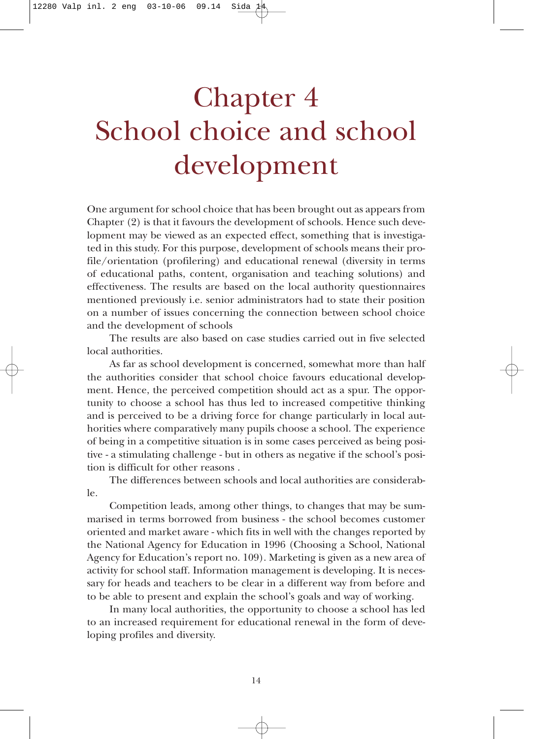# Chapter 4 School choice and school development

One argument for school choice that has been brought out as appears from Chapter (2) is that it favours the development of schools. Hence such development may be viewed as an expected effect, something that is investigated in this study. For this purpose, development of schools means their profile/orientation (profilering) and educational renewal (diversity in terms of educational paths, content, organisation and teaching solutions) and effectiveness. The results are based on the local authority questionnaires mentioned previously i.e. senior administrators had to state their position on a number of issues concerning the connection between school choice and the development of schools

The results are also based on case studies carried out in five selected local authorities.

As far as school development is concerned, somewhat more than half the authorities consider that school choice favours educational development. Hence, the perceived competition should act as a spur. The opportunity to choose a school has thus led to increased competitive thinking and is perceived to be a driving force for change particularly in local authorities where comparatively many pupils choose a school. The experience of being in a competitive situation is in some cases perceived as being positive - a stimulating challenge - but in others as negative if the school's position is difficult for other reasons .

The differences between schools and local authorities are considerable.

Competition leads, among other things, to changes that may be summarised in terms borrowed from business - the school becomes customer oriented and market aware - which fits in well with the changes reported by the National Agency for Education in 1996 (Choosing a School, National Agency for Education's report no. 109). Marketing is given as a new area of activity for school staff. Information management is developing. It is necessary for heads and teachers to be clear in a different way from before and to be able to present and explain the school's goals and way of working.

In many local authorities, the opportunity to choose a school has led to an increased requirement for educational renewal in the form of developing profiles and diversity.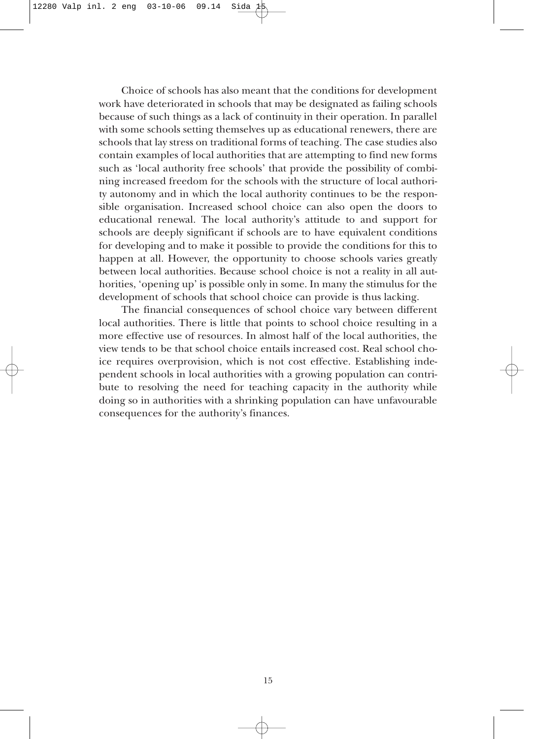Choice of schools has also meant that the conditions for development work have deteriorated in schools that may be designated as failing schools because of such things as a lack of continuity in their operation. In parallel with some schools setting themselves up as educational renewers, there are schools that lay stress on traditional forms of teaching. The case studies also contain examples of local authorities that are attempting to find new forms such as 'local authority free schools' that provide the possibility of combining increased freedom for the schools with the structure of local authority autonomy and in which the local authority continues to be the responsible organisation. Increased school choice can also open the doors to educational renewal. The local authority's attitude to and support for schools are deeply significant if schools are to have equivalent conditions for developing and to make it possible to provide the conditions for this to happen at all. However, the opportunity to choose schools varies greatly between local authorities. Because school choice is not a reality in all authorities, 'opening up' is possible only in some. In many the stimulus for the development of schools that school choice can provide is thus lacking.

The financial consequences of school choice vary between different local authorities. There is little that points to school choice resulting in a more effective use of resources. In almost half of the local authorities, the view tends to be that school choice entails increased cost. Real school choice requires overprovision, which is not cost effective. Establishing independent schools in local authorities with a growing population can contribute to resolving the need for teaching capacity in the authority while doing so in authorities with a shrinking population can have unfavourable consequences for the authority's finances.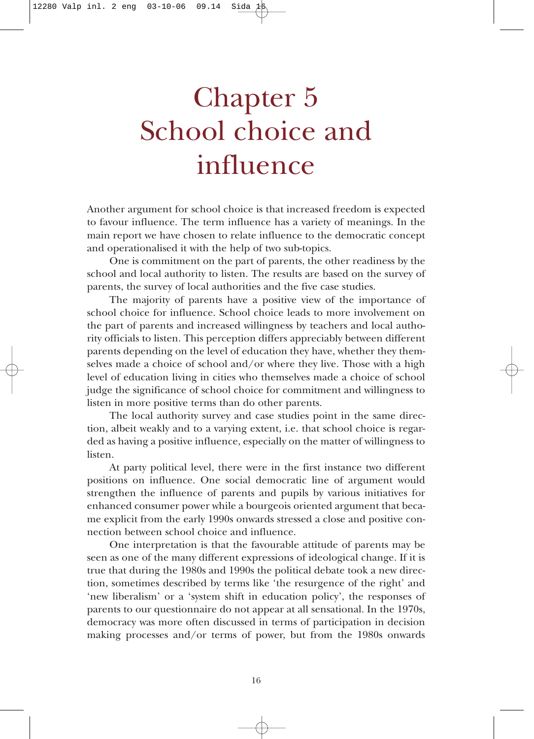# Chapter 5 School choice and influence

Another argument for school choice is that increased freedom is expected to favour influence. The term influence has a variety of meanings. In the main report we have chosen to relate influence to the democratic concept and operationalised it with the help of two sub-topics.

One is commitment on the part of parents, the other readiness by the school and local authority to listen. The results are based on the survey of parents, the survey of local authorities and the five case studies.

The majority of parents have a positive view of the importance of school choice for influence. School choice leads to more involvement on the part of parents and increased willingness by teachers and local authority officials to listen. This perception differs appreciably between different parents depending on the level of education they have, whether they themselves made a choice of school and/or where they live. Those with a high level of education living in cities who themselves made a choice of school judge the significance of school choice for commitment and willingness to listen in more positive terms than do other parents.

The local authority survey and case studies point in the same direction, albeit weakly and to a varying extent, i.e. that school choice is regarded as having a positive influence, especially on the matter of willingness to listen.

At party political level, there were in the first instance two different positions on influence. One social democratic line of argument would strengthen the influence of parents and pupils by various initiatives for enhanced consumer power while a bourgeois oriented argument that became explicit from the early 1990s onwards stressed a close and positive connection between school choice and influence.

One interpretation is that the favourable attitude of parents may be seen as one of the many different expressions of ideological change. If it is true that during the 1980s and 1990s the political debate took a new direction, sometimes described by terms like 'the resurgence of the right' and 'new liberalism' or a 'system shift in education policy', the responses of parents to our questionnaire do not appear at all sensational. In the 1970s, democracy was more often discussed in terms of participation in decision making processes and/or terms of power, but from the 1980s onwards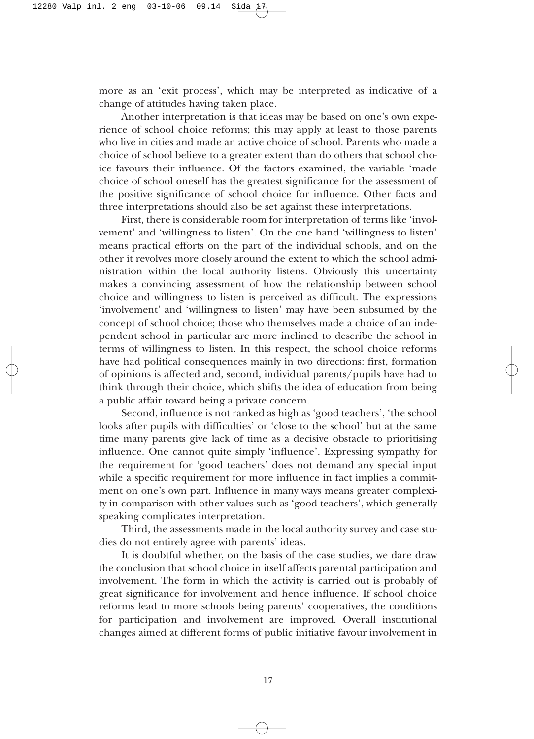more as an 'exit process', which may be interpreted as indicative of a change of attitudes having taken place.

Another interpretation is that ideas may be based on one's own experience of school choice reforms; this may apply at least to those parents who live in cities and made an active choice of school. Parents who made a choice of school believe to a greater extent than do others that school choice favours their influence. Of the factors examined, the variable 'made choice of school oneself has the greatest significance for the assessment of the positive significance of school choice for influence. Other facts and three interpretations should also be set against these interpretations.

First, there is considerable room for interpretation of terms like 'involvement' and 'willingness to listen'. On the one hand 'willingness to listen' means practical efforts on the part of the individual schools, and on the other it revolves more closely around the extent to which the school administration within the local authority listens. Obviously this uncertainty makes a convincing assessment of how the relationship between school choice and willingness to listen is perceived as difficult. The expressions 'involvement' and 'willingness to listen' may have been subsumed by the concept of school choice; those who themselves made a choice of an independent school in particular are more inclined to describe the school in terms of willingness to listen. In this respect, the school choice reforms have had political consequences mainly in two directions: first, formation of opinions is affected and, second, individual parents/pupils have had to think through their choice, which shifts the idea of education from being a public affair toward being a private concern.

Second, influence is not ranked as high as 'good teachers', 'the school looks after pupils with difficulties' or 'close to the school' but at the same time many parents give lack of time as a decisive obstacle to prioritising influence. One cannot quite simply 'influence'. Expressing sympathy for the requirement for 'good teachers' does not demand any special input while a specific requirement for more influence in fact implies a commitment on one's own part. Influence in many ways means greater complexity in comparison with other values such as 'good teachers', which generally speaking complicates interpretation.

Third, the assessments made in the local authority survey and case studies do not entirely agree with parents' ideas.

It is doubtful whether, on the basis of the case studies, we dare draw the conclusion that school choice in itself affects parental participation and involvement. The form in which the activity is carried out is probably of great significance for involvement and hence influence. If school choice reforms lead to more schools being parents' cooperatives, the conditions for participation and involvement are improved. Overall institutional changes aimed at different forms of public initiative favour involvement in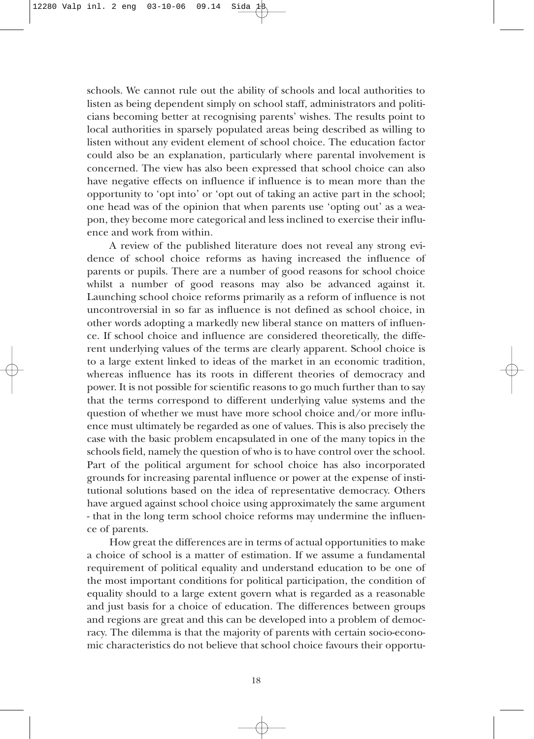schools. We cannot rule out the ability of schools and local authorities to listen as being dependent simply on school staff, administrators and politicians becoming better at recognising parents' wishes. The results point to local authorities in sparsely populated areas being described as willing to listen without any evident element of school choice. The education factor could also be an explanation, particularly where parental involvement is concerned. The view has also been expressed that school choice can also have negative effects on influence if influence is to mean more than the opportunity to 'opt into' or 'opt out of taking an active part in the school; one head was of the opinion that when parents use 'opting out' as a weapon, they become more categorical and less inclined to exercise their influence and work from within.

A review of the published literature does not reveal any strong evidence of school choice reforms as having increased the influence of parents or pupils. There are a number of good reasons for school choice whilst a number of good reasons may also be advanced against it. Launching school choice reforms primarily as a reform of influence is not uncontroversial in so far as influence is not defined as school choice, in other words adopting a markedly new liberal stance on matters of influence. If school choice and influence are considered theoretically, the different underlying values of the terms are clearly apparent. School choice is to a large extent linked to ideas of the market in an economic tradition, whereas influence has its roots in different theories of democracy and power. It is not possible for scientific reasons to go much further than to say that the terms correspond to different underlying value systems and the question of whether we must have more school choice and/or more influence must ultimately be regarded as one of values. This is also precisely the case with the basic problem encapsulated in one of the many topics in the schools field, namely the question of who is to have control over the school. Part of the political argument for school choice has also incorporated grounds for increasing parental influence or power at the expense of institutional solutions based on the idea of representative democracy. Others have argued against school choice using approximately the same argument - that in the long term school choice reforms may undermine the influence of parents.

How great the differences are in terms of actual opportunities to make a choice of school is a matter of estimation. If we assume a fundamental requirement of political equality and understand education to be one of the most important conditions for political participation, the condition of equality should to a large extent govern what is regarded as a reasonable and just basis for a choice of education. The differences between groups and regions are great and this can be developed into a problem of democracy. The dilemma is that the majority of parents with certain socio-economic characteristics do not believe that school choice favours their opportu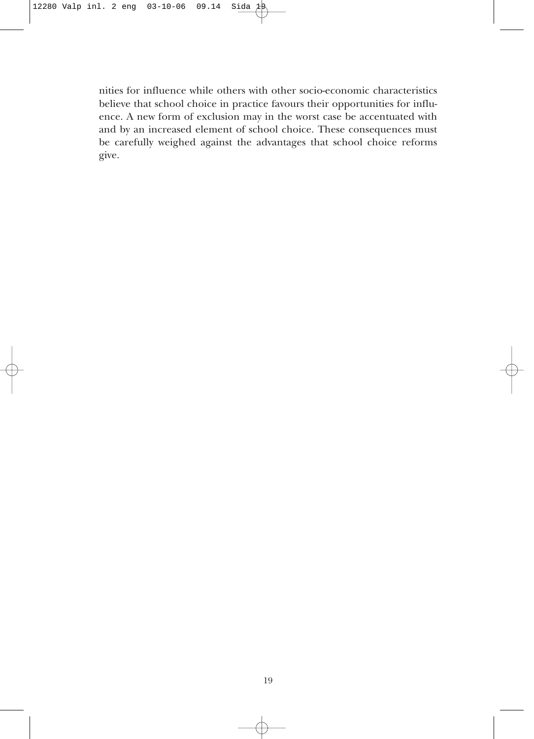nities for influence while others with other socio-economic characteristics believe that school choice in practice favours their opportunities for influence. A new form of exclusion may in the worst case be accentuated with and by an increased element of school choice. These consequences must be carefully weighed against the advantages that school choice reforms give.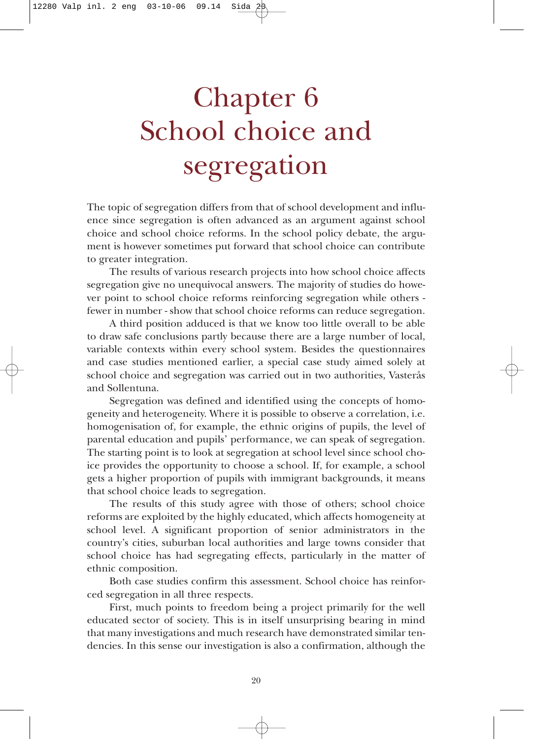# Chapter 6 School choice and segregation

The topic of segregation differs from that of school development and influence since segregation is often advanced as an argument against school choice and school choice reforms. In the school policy debate, the argument is however sometimes put forward that school choice can contribute to greater integration.

The results of various research projects into how school choice affects segregation give no unequivocal answers. The majority of studies do however point to school choice reforms reinforcing segregation while others fewer in number - show that school choice reforms can reduce segregation.

A third position adduced is that we know too little overall to be able to draw safe conclusions partly because there are a large number of local, variable contexts within every school system. Besides the questionnaires and case studies mentioned earlier, a special case study aimed solely at school choice and segregation was carried out in two authorities, Vasterås and Sollentuna.

Segregation was defined and identified using the concepts of homogeneity and heterogeneity. Where it is possible to observe a correlation, i.e. homogenisation of, for example, the ethnic origins of pupils, the level of parental education and pupils' performance, we can speak of segregation. The starting point is to look at segregation at school level since school choice provides the opportunity to choose a school. If, for example, a school gets a higher proportion of pupils with immigrant backgrounds, it means that school choice leads to segregation.

The results of this study agree with those of others; school choice reforms are exploited by the highly educated, which affects homogeneity at school level. A significant proportion of senior administrators in the country's cities, suburban local authorities and large towns consider that school choice has had segregating effects, particularly in the matter of ethnic composition.

Both case studies confirm this assessment. School choice has reinforced segregation in all three respects.

First, much points to freedom being a project primarily for the well educated sector of society. This is in itself unsurprising bearing in mind that many investigations and much research have demonstrated similar tendencies. In this sense our investigation is also a confirmation, although the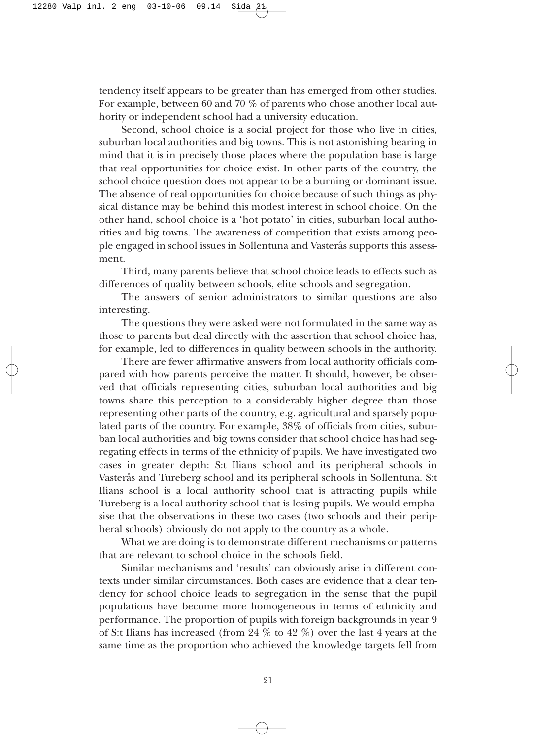tendency itself appears to be greater than has emerged from other studies. For example, between 60 and 70 % of parents who chose another local authority or independent school had a university education.

Second, school choice is a social project for those who live in cities, suburban local authorities and big towns. This is not astonishing bearing in mind that it is in precisely those places where the population base is large that real opportunities for choice exist. In other parts of the country, the school choice question does not appear to be a burning or dominant issue. The absence of real opportunities for choice because of such things as physical distance may be behind this modest interest in school choice. On the other hand, school choice is a 'hot potato' in cities, suburban local authorities and big towns. The awareness of competition that exists among people engaged in school issues in Sollentuna and Vasterås supports this assessment.

Third, many parents believe that school choice leads to effects such as differences of quality between schools, elite schools and segregation.

The answers of senior administrators to similar questions are also interesting.

The questions they were asked were not formulated in the same way as those to parents but deal directly with the assertion that school choice has, for example, led to differences in quality between schools in the authority.

There are fewer affirmative answers from local authority officials compared with how parents perceive the matter. It should, however, be observed that officials representing cities, suburban local authorities and big towns share this perception to a considerably higher degree than those representing other parts of the country, e.g. agricultural and sparsely populated parts of the country. For example, 38% of officials from cities, suburban local authorities and big towns consider that school choice has had segregating effects in terms of the ethnicity of pupils. We have investigated two cases in greater depth: S:t Ilians school and its peripheral schools in Vasterås and Tureberg school and its peripheral schools in Sollentuna. S:t Ilians school is a local authority school that is attracting pupils while Tureberg is a local authority school that is losing pupils. We would emphasise that the observations in these two cases (two schools and their peripheral schools) obviously do not apply to the country as a whole.

What we are doing is to demonstrate different mechanisms or patterns that are relevant to school choice in the schools field.

Similar mechanisms and 'results' can obviously arise in different contexts under similar circumstances. Both cases are evidence that a clear tendency for school choice leads to segregation in the sense that the pupil populations have become more homogeneous in terms of ethnicity and performance. The proportion of pupils with foreign backgrounds in year 9 of S:t Ilians has increased (from 24 % to 42 %) over the last 4 years at the same time as the proportion who achieved the knowledge targets fell from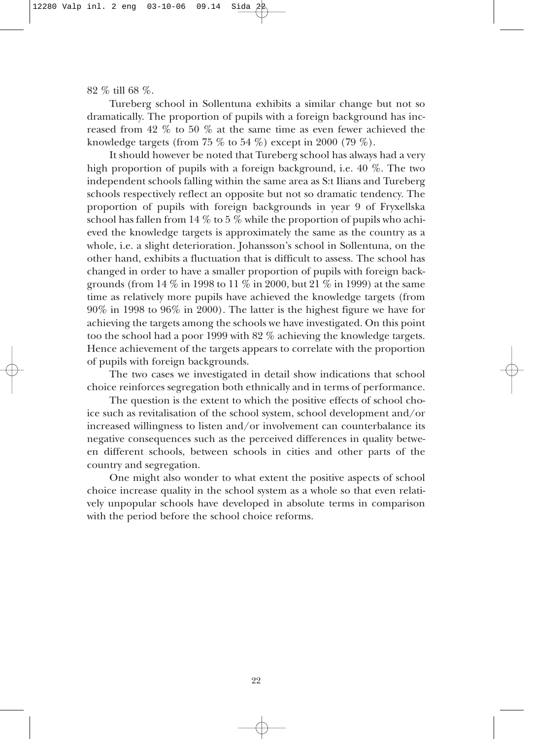82 % till 68 %.

Tureberg school in Sollentuna exhibits a similar change but not so dramatically. The proportion of pupils with a foreign background has increased from 42 % to 50 % at the same time as even fewer achieved the knowledge targets (from 75  $\%$  to 54  $\%$ ) except in 2000 (79  $\%$ ).

It should however be noted that Tureberg school has always had a very high proportion of pupils with a foreign background, i.e. 40 %. The two independent schools falling within the same area as S:t Ilians and Tureberg schools respectively reflect an opposite but not so dramatic tendency. The proportion of pupils with foreign backgrounds in year 9 of Fryxellska school has fallen from 14  $\%$  to 5  $\%$  while the proportion of pupils who achieved the knowledge targets is approximately the same as the country as a whole, i.e. a slight deterioration. Johansson's school in Sollentuna, on the other hand, exhibits a fluctuation that is difficult to assess. The school has changed in order to have a smaller proportion of pupils with foreign backgrounds (from 14 % in 1998 to 11 % in 2000, but 21 % in 1999) at the same time as relatively more pupils have achieved the knowledge targets (from 90% in 1998 to 96% in 2000). The latter is the highest figure we have for achieving the targets among the schools we have investigated. On this point too the school had a poor 1999 with 82 % achieving the knowledge targets. Hence achievement of the targets appears to correlate with the proportion of pupils with foreign backgrounds.

The two cases we investigated in detail show indications that school choice reinforces segregation both ethnically and in terms of performance.

The question is the extent to which the positive effects of school choice such as revitalisation of the school system, school development and/or increased willingness to listen and/or involvement can counterbalance its negative consequences such as the perceived differences in quality between different schools, between schools in cities and other parts of the country and segregation.

One might also wonder to what extent the positive aspects of school choice increase quality in the school system as a whole so that even relatively unpopular schools have developed in absolute terms in comparison with the period before the school choice reforms.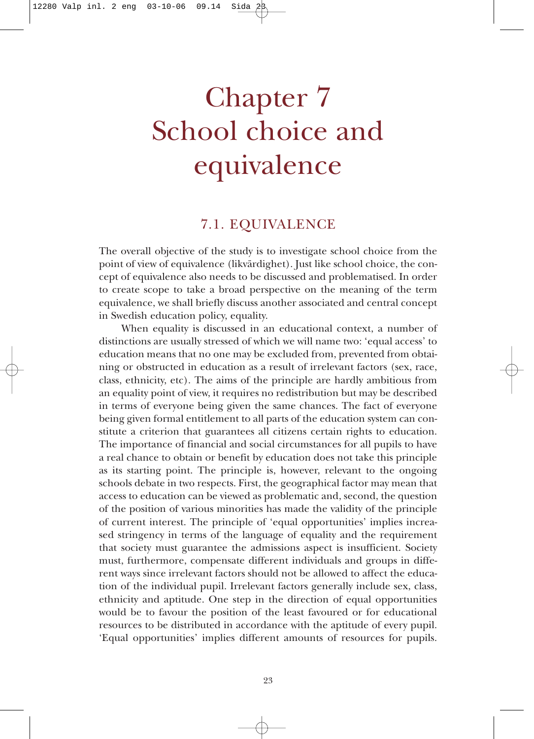# Chapter 7 School choice and equivalence

#### 7.1. EQUIVALENCE

The overall objective of the study is to investigate school choice from the point of view of equivalence (likvärdighet). Just like school choice, the concept of equivalence also needs to be discussed and problematised. In order to create scope to take a broad perspective on the meaning of the term equivalence, we shall briefly discuss another associated and central concept in Swedish education policy, equality.

When equality is discussed in an educational context, a number of distinctions are usually stressed of which we will name two: 'equal access' to education means that no one may be excluded from, prevented from obtaining or obstructed in education as a result of irrelevant factors (sex, race, class, ethnicity, etc). The aims of the principle are hardly ambitious from an equality point of view, it requires no redistribution but may be described in terms of everyone being given the same chances. The fact of everyone being given formal entitlement to all parts of the education system can constitute a criterion that guarantees all citizens certain rights to education. The importance of financial and social circumstances for all pupils to have a real chance to obtain or benefit by education does not take this principle as its starting point. The principle is, however, relevant to the ongoing schools debate in two respects. First, the geographical factor may mean that access to education can be viewed as problematic and, second, the question of the position of various minorities has made the validity of the principle of current interest. The principle of 'equal opportunities' implies increased stringency in terms of the language of equality and the requirement that society must guarantee the admissions aspect is insufficient. Society must, furthermore, compensate different individuals and groups in different ways since irrelevant factors should not be allowed to affect the education of the individual pupil. Irrelevant factors generally include sex, class, ethnicity and aptitude. One step in the direction of equal opportunities would be to favour the position of the least favoured or for educational resources to be distributed in accordance with the aptitude of every pupil. 'Equal opportunities' implies different amounts of resources for pupils.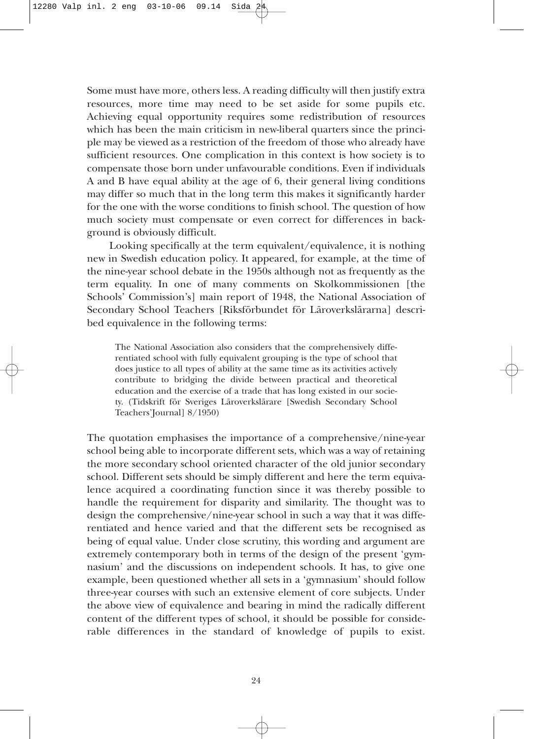Some must have more, others less. A reading difficulty will then justify extra resources, more time may need to be set aside for some pupils etc. Achieving equal opportunity requires some redistribution of resources which has been the main criticism in new-liberal quarters since the principle may be viewed as a restriction of the freedom of those who already have sufficient resources. One complication in this context is how society is to compensate those born under unfavourable conditions. Even if individuals A and B have equal ability at the age of 6, their general living conditions may differ so much that in the long term this makes it significantly harder for the one with the worse conditions to finish school. The question of how much society must compensate or even correct for differences in background is obviously difficult.

Looking specifically at the term equivalent/equivalence, it is nothing new in Swedish education policy. It appeared, for example, at the time of the nine-year school debate in the 1950s although not as frequently as the term equality. In one of many comments on Skolkommissionen [the Schools' Commission's] main report of 1948, the National Association of Secondary School Teachers [Riksförbundet för Läroverkslärarna] described equivalence in the following terms:

The National Association also considers that the comprehensively differentiated school with fully equivalent grouping is the type of school that does justice to all types of ability at the same time as its activities actively contribute to bridging the divide between practical and theoretical education and the exercise of a trade that has long existed in our society. (Tidskrift för Sveriges Läroverkslärare [Swedish Secondary School Teachers'Journal] 8/1950)

The quotation emphasises the importance of a comprehensive/nine-year school being able to incorporate different sets, which was a way of retaining the more secondary school oriented character of the old junior secondary school. Different sets should be simply different and here the term equivalence acquired a coordinating function since it was thereby possible to handle the requirement for disparity and similarity. The thought was to design the comprehensive/nine-year school in such a way that it was differentiated and hence varied and that the different sets be recognised as being of equal value. Under close scrutiny, this wording and argument are extremely contemporary both in terms of the design of the present 'gymnasium' and the discussions on independent schools. It has, to give one example, been questioned whether all sets in a 'gymnasium' should follow three-year courses with such an extensive element of core subjects. Under the above view of equivalence and bearing in mind the radically different content of the different types of school, it should be possible for considerable differences in the standard of knowledge of pupils to exist.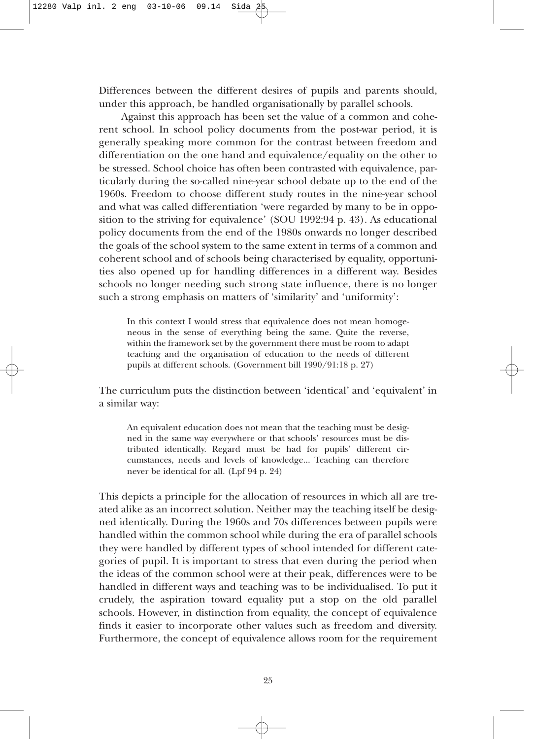Differences between the different desires of pupils and parents should, under this approach, be handled organisationally by parallel schools.

Against this approach has been set the value of a common and coherent school. In school policy documents from the post-war period, it is generally speaking more common for the contrast between freedom and differentiation on the one hand and equivalence/equality on the other to be stressed. School choice has often been contrasted with equivalence, particularly during the so-called nine-year school debate up to the end of the 1960s. Freedom to choose different study routes in the nine-year school and what was called differentiation 'were regarded by many to be in opposition to the striving for equivalence' (SOU 1992:94 p. 43). As educational policy documents from the end of the 1980s onwards no longer described the goals of the school system to the same extent in terms of a common and coherent school and of schools being characterised by equality, opportunities also opened up for handling differences in a different way. Besides schools no longer needing such strong state influence, there is no longer such a strong emphasis on matters of 'similarity' and 'uniformity':

In this context I would stress that equivalence does not mean homogeneous in the sense of everything being the same. Quite the reverse, within the framework set by the government there must be room to adapt teaching and the organisation of education to the needs of different pupils at different schools. (Government bill 1990/91:18 p. 27)

The curriculum puts the distinction between 'identical' and 'equivalent' in a similar way:

An equivalent education does not mean that the teaching must be designed in the same way everywhere or that schools' resources must be distributed identically. Regard must be had for pupils' different circumstances, needs and levels of knowledge... Teaching can therefore never be identical for all. (Lpf 94 p. 24)

This depicts a principle for the allocation of resources in which all are treated alike as an incorrect solution. Neither may the teaching itself be designed identically. During the 1960s and 70s differences between pupils were handled within the common school while during the era of parallel schools they were handled by different types of school intended for different categories of pupil. It is important to stress that even during the period when the ideas of the common school were at their peak, differences were to be handled in different ways and teaching was to be individualised. To put it crudely, the aspiration toward equality put a stop on the old parallel schools. However, in distinction from equality, the concept of equivalence finds it easier to incorporate other values such as freedom and diversity. Furthermore, the concept of equivalence allows room for the requirement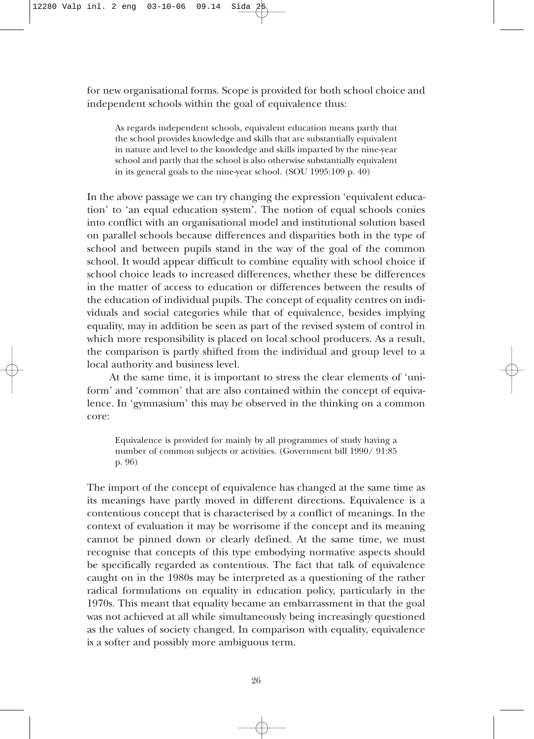for new organisational forms. Scope is provided for both school choice and independent schools within the goal of equivalence thus:

As regards independent schools, equivalent education means partly that the school provides knowledge and skills that are substantially equivalent in nature and level to the knowledge and skills imparted by the nine-year school and partly that the school is also otherwise substantially equivalent in its general goals to the nine-year school. (SOU 1995:109 p. 40)

In the above passage we can try changing the expression 'equivalent education' to 'an equal education system'. The notion of equal schools conies into conflict with an organisational model and institutional solution based on parallel schools because differences and disparities both in the type of school and between pupils stand in the way of the goal of the common school. It would appear difficult to combine equality with school choice if school choice leads to increased differences, whether these be differences in the matter of access to education or differences between the results of the education of individual pupils. The concept of equality centres on individuals and social categories while that of equivalence, besides implying equality, may in addition be seen as part of the revised system of control in which more responsibility is placed on local school producers. As a result, the comparison is partly shifted from the individual and group level to a local authority and business level.

At the same time, it is important to stress the clear elements of 'uniform' and 'common' that are also contained within the concept of equivalence. In 'gymnasium' this may be observed in the thinking on a common core:

Equivalence is provided for mainly by all programmes of study having a number of common subjects or activities. (Government bill 1990/ 91:85 p. 96)

The import of the concept of equivalence has changed at the same time as its meanings have partly moved in different directions. Equivalence is a contentious concept that is characterised by a conflict of meanings. In the context of evaluation it may be worrisome if the concept and its meaning cannot be pinned down or clearly defined. At the same time, we must recognise that concepts of this type embodying normative aspects should be specifically regarded as contentious. The fact that talk of equivalence caught on in the 1980s may be interpreted as a questioning of the rather radical formulations on equality in education policy, particularly in the 1970s. This meant that equality became an embarrassment in that the goal was not achieved at all while simultaneously being increasingly questioned as the values of society changed. In comparison with equality, equivalence is a softer and possibly more ambiguous term.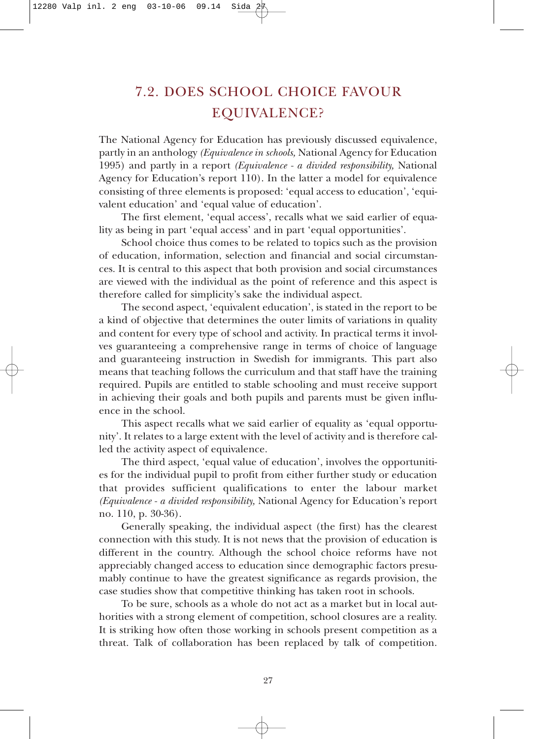### 7.2. DOES SCHOOL CHOICE FAVOUR EQUIVALENCE?

The National Agency for Education has previously discussed equivalence, partly in an anthology *(Equivalence in schools,* National Agency for Education 1995) and partly in a report *(Equivalence - a divided responsibility,* National Agency for Education's report 110). In the latter a model for equivalence consisting of three elements is proposed: 'equal access to education', 'equivalent education' and 'equal value of education'.

The first element, 'equal access', recalls what we said earlier of equality as being in part 'equal access' and in part 'equal opportunities'.

School choice thus comes to be related to topics such as the provision of education, information, selection and financial and social circumstances. It is central to this aspect that both provision and social circumstances are viewed with the individual as the point of reference and this aspect is therefore called for simplicity's sake the individual aspect.

The second aspect, 'equivalent education', is stated in the report to be a kind of objective that determines the outer limits of variations in quality and content for every type of school and activity. In practical terms it involves guaranteeing a comprehensive range in terms of choice of language and guaranteeing instruction in Swedish for immigrants. This part also means that teaching follows the curriculum and that staff have the training required. Pupils are entitled to stable schooling and must receive support in achieving their goals and both pupils and parents must be given influence in the school.

This aspect recalls what we said earlier of equality as 'equal opportunity'. It relates to a large extent with the level of activity and is therefore called the activity aspect of equivalence.

The third aspect, 'equal value of education', involves the opportunities for the individual pupil to profit from either further study or education that provides sufficient qualifications to enter the labour market *(Equivalence - a divided responsibility,* National Agency for Education's report no. 110, p. 30-36).

Generally speaking, the individual aspect (the first) has the clearest connection with this study. It is not news that the provision of education is different in the country. Although the school choice reforms have not appreciably changed access to education since demographic factors presumably continue to have the greatest significance as regards provision, the case studies show that competitive thinking has taken root in schools.

To be sure, schools as a whole do not act as a market but in local authorities with a strong element of competition, school closures are a reality. It is striking how often those working in schools present competition as a threat. Talk of collaboration has been replaced by talk of competition.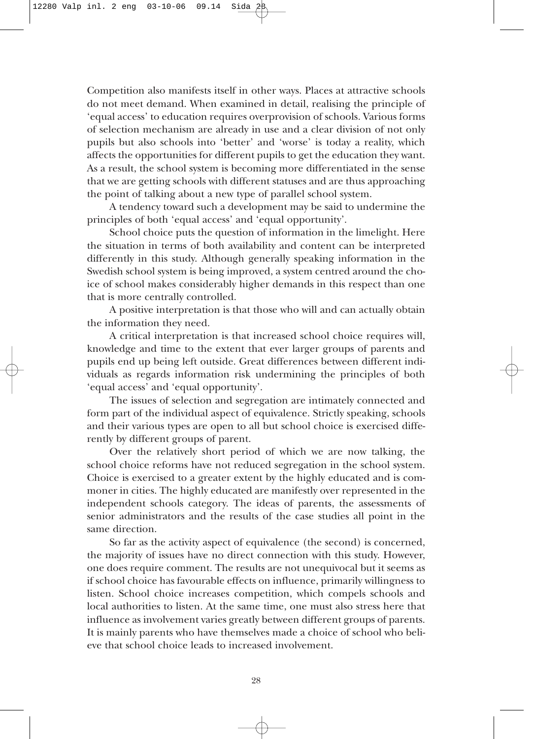Competition also manifests itself in other ways. Places at attractive schools do not meet demand. When examined in detail, realising the principle of 'equal access' to education requires overprovision of schools. Various forms of selection mechanism are already in use and a clear division of not only pupils but also schools into 'better' and 'worse' is today a reality, which affects the opportunities for different pupils to get the education they want. As a result, the school system is becoming more differentiated in the sense that we are getting schools with different statuses and are thus approaching the point of talking about a new type of parallel school system.

A tendency toward such a development may be said to undermine the principles of both 'equal access' and 'equal opportunity'.

School choice puts the question of information in the limelight. Here the situation in terms of both availability and content can be interpreted differently in this study. Although generally speaking information in the Swedish school system is being improved, a system centred around the choice of school makes considerably higher demands in this respect than one that is more centrally controlled.

A positive interpretation is that those who will and can actually obtain the information they need.

A critical interpretation is that increased school choice requires will, knowledge and time to the extent that ever larger groups of parents and pupils end up being left outside. Great differences between different individuals as regards information risk undermining the principles of both 'equal access' and 'equal opportunity'.

The issues of selection and segregation are intimately connected and form part of the individual aspect of equivalence. Strictly speaking, schools and their various types are open to all but school choice is exercised differently by different groups of parent.

Over the relatively short period of which we are now talking, the school choice reforms have not reduced segregation in the school system. Choice is exercised to a greater extent by the highly educated and is commoner in cities. The highly educated are manifestly over represented in the independent schools category. The ideas of parents, the assessments of senior administrators and the results of the case studies all point in the same direction.

So far as the activity aspect of equivalence (the second) is concerned, the majority of issues have no direct connection with this study. However, one does require comment. The results are not unequivocal but it seems as if school choice has favourable effects on influence, primarily willingness to listen. School choice increases competition, which compels schools and local authorities to listen. At the same time, one must also stress here that influence as involvement varies greatly between different groups of parents. It is mainly parents who have themselves made a choice of school who believe that school choice leads to increased involvement.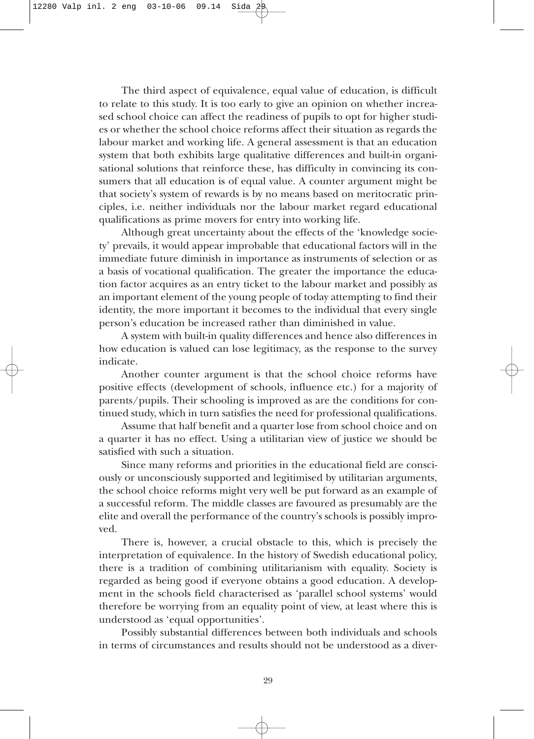The third aspect of equivalence, equal value of education, is difficult to relate to this study. It is too early to give an opinion on whether increased school choice can affect the readiness of pupils to opt for higher studies or whether the school choice reforms affect their situation as regards the labour market and working life. A general assessment is that an education system that both exhibits large qualitative differences and built-in organisational solutions that reinforce these, has difficulty in convincing its consumers that all education is of equal value. A counter argument might be that society's system of rewards is by no means based on meritocratic principles, i.e. neither individuals nor the labour market regard educational qualifications as prime movers for entry into working life.

Although great uncertainty about the effects of the 'knowledge society' prevails, it would appear improbable that educational factors will in the immediate future diminish in importance as instruments of selection or as a basis of vocational qualification. The greater the importance the education factor acquires as an entry ticket to the labour market and possibly as an important element of the young people of today attempting to find their identity, the more important it becomes to the individual that every single person's education be increased rather than diminished in value.

A system with built-in quality differences and hence also differences in how education is valued can lose legitimacy, as the response to the survey indicate.

Another counter argument is that the school choice reforms have positive effects (development of schools, influence etc.) for a majority of parents/pupils. Their schooling is improved as are the conditions for continued study, which in turn satisfies the need for professional qualifications.

Assume that half benefit and a quarter lose from school choice and on a quarter it has no effect. Using a utilitarian view of justice we should be satisfied with such a situation.

Since many reforms and priorities in the educational field are consciously or unconsciously supported and legitimised by utilitarian arguments, the school choice reforms might very well be put forward as an example of a successful reform. The middle classes are favoured as presumably are the elite and overall the performance of the country's schools is possibly improved.

There is, however, a crucial obstacle to this, which is precisely the interpretation of equivalence. In the history of Swedish educational policy, there is a tradition of combining utilitarianism with equality. Society is regarded as being good if everyone obtains a good education. A development in the schools field characterised as 'parallel school systems' would therefore be worrying from an equality point of view, at least where this is understood as 'equal opportunities'.

Possibly substantial differences between both individuals and schools in terms of circumstances and results should not be understood as a diver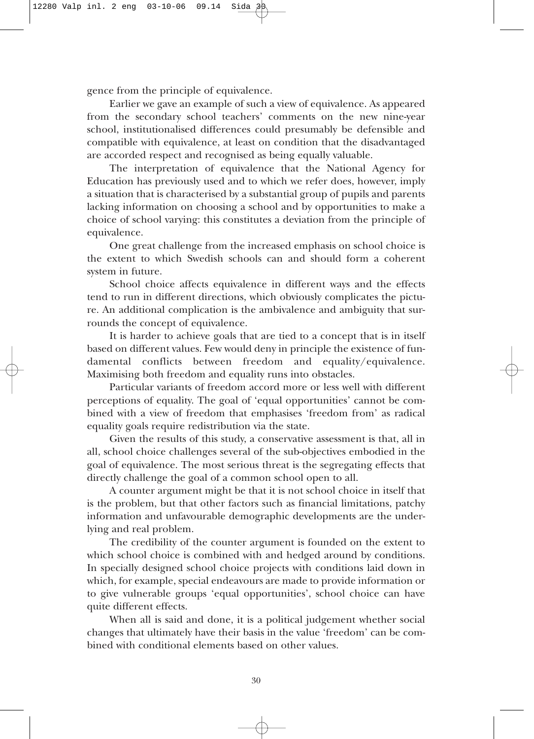gence from the principle of equivalence.

Earlier we gave an example of such a view of equivalence. As appeared from the secondary school teachers' comments on the new nine-year school, institutionalised differences could presumably be defensible and compatible with equivalence, at least on condition that the disadvantaged are accorded respect and recognised as being equally valuable.

The interpretation of equivalence that the National Agency for Education has previously used and to which we refer does, however, imply a situation that is characterised by a substantial group of pupils and parents lacking information on choosing a school and by opportunities to make a choice of school varying: this constitutes a deviation from the principle of equivalence.

One great challenge from the increased emphasis on school choice is the extent to which Swedish schools can and should form a coherent system in future.

School choice affects equivalence in different ways and the effects tend to run in different directions, which obviously complicates the picture. An additional complication is the ambivalence and ambiguity that surrounds the concept of equivalence.

It is harder to achieve goals that are tied to a concept that is in itself based on different values. Few would deny in principle the existence of fundamental conflicts between freedom and equality/equivalence. Maximising both freedom and equality runs into obstacles.

Particular variants of freedom accord more or less well with different perceptions of equality. The goal of 'equal opportunities' cannot be combined with a view of freedom that emphasises 'freedom from' as radical equality goals require redistribution via the state.

Given the results of this study, a conservative assessment is that, all in all, school choice challenges several of the sub-objectives embodied in the goal of equivalence. The most serious threat is the segregating effects that directly challenge the goal of a common school open to all.

A counter argument might be that it is not school choice in itself that is the problem, but that other factors such as financial limitations, patchy information and unfavourable demographic developments are the underlying and real problem.

The credibility of the counter argument is founded on the extent to which school choice is combined with and hedged around by conditions. In specially designed school choice projects with conditions laid down in which, for example, special endeavours are made to provide information or to give vulnerable groups 'equal opportunities', school choice can have quite different effects.

When all is said and done, it is a political judgement whether social changes that ultimately have their basis in the value 'freedom' can be combined with conditional elements based on other values.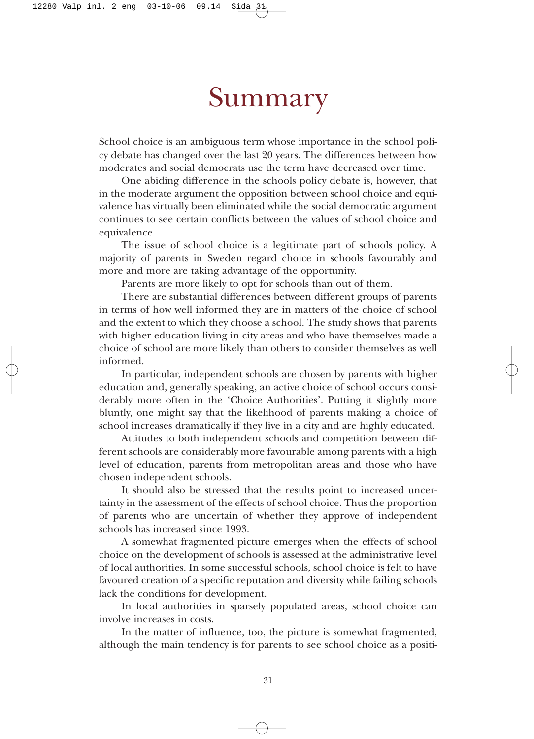## Summary

School choice is an ambiguous term whose importance in the school policy debate has changed over the last 20 years. The differences between how moderates and social democrats use the term have decreased over time.

One abiding difference in the schools policy debate is, however, that in the moderate argument the opposition between school choice and equivalence has virtually been eliminated while the social democratic argument continues to see certain conflicts between the values of school choice and equivalence.

The issue of school choice is a legitimate part of schools policy. A majority of parents in Sweden regard choice in schools favourably and more and more are taking advantage of the opportunity.

Parents are more likely to opt for schools than out of them.

There are substantial differences between different groups of parents in terms of how well informed they are in matters of the choice of school and the extent to which they choose a school. The study shows that parents with higher education living in city areas and who have themselves made a choice of school are more likely than others to consider themselves as well informed.

In particular, independent schools are chosen by parents with higher education and, generally speaking, an active choice of school occurs considerably more often in the 'Choice Authorities'. Putting it slightly more bluntly, one might say that the likelihood of parents making a choice of school increases dramatically if they live in a city and are highly educated.

Attitudes to both independent schools and competition between different schools are considerably more favourable among parents with a high level of education, parents from metropolitan areas and those who have chosen independent schools.

It should also be stressed that the results point to increased uncertainty in the assessment of the effects of school choice. Thus the proportion of parents who are uncertain of whether they approve of independent schools has increased since 1993.

A somewhat fragmented picture emerges when the effects of school choice on the development of schools is assessed at the administrative level of local authorities. In some successful schools, school choice is felt to have favoured creation of a specific reputation and diversity while failing schools lack the conditions for development.

In local authorities in sparsely populated areas, school choice can involve increases in costs.

In the matter of influence, too, the picture is somewhat fragmented, although the main tendency is for parents to see school choice as a positi